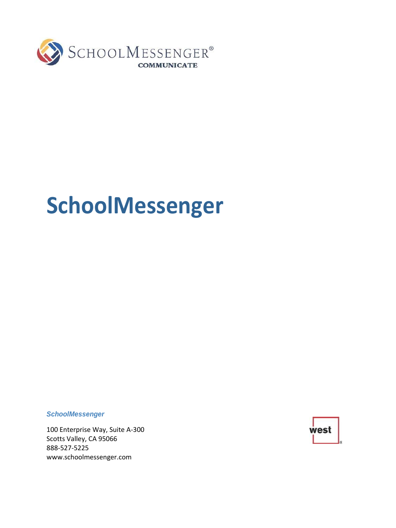

# **SchoolMessenger**

*SchoolMessenger*

100 Enterprise Way, Suite A-300 Scotts Valley, CA 95066 888-527-5225 [www.schoolmessenger.com](http://www.schoolmessenger.com/)

west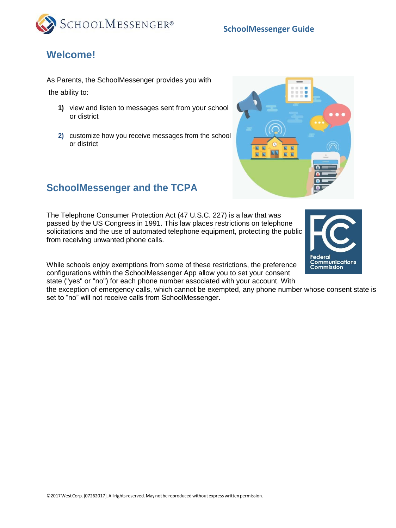



## **Welcome!**

As Parents, the SchoolMessenger provides you with the ability to:

- **1)** view and listen to messages sent from your school or district
- **2)** customize how you receive messages from the school or district



**Federal** 

**Communications Commission** 

### **SchoolMessenger and the TCPA**

The Telephone Consumer Protection Act (47 U.S.C. 227) is a law that was passed by the US Congress in 1991. This law places restrictions on telephone solicitations and the use of automated telephone equipment, protecting the public from receiving unwanted phone calls.

While schools enjoy exemptions from some of these restrictions, the preference configurations within the SchoolMessenger App allow you to set your consent state ("yes" or "no") for each phone number associated with your account. With

the exception of emergency calls, which cannot be exempted, any phone number whose consent state is set to "no" will not receive calls from SchoolMessenger.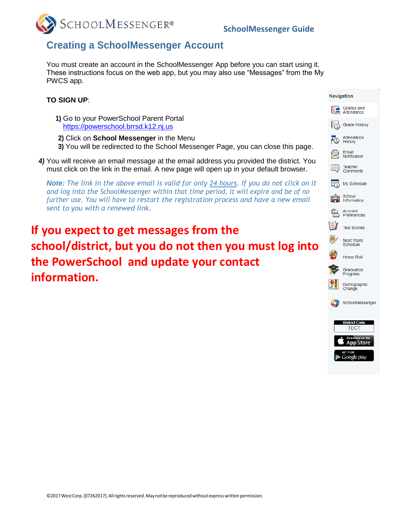

#### **Creating a SchoolMessenger Account**

You must create an account in the SchoolMessenger App before you can start using it. These instructions focus on the web app, but you may also use "Messages" from the My PWCS app.

#### **TO SIGN UP**:

- **1)** Go to your PowerSchool Parent Portal [https://powerschool.brrsd.k12.nj.us](https://powerschool.brrsd.k12.nj.us/)
- **2)** Click on **School Messenger** in the Menu
- **3)** You will be redirected to the School Messenger Page, you can close this page.
- *4)* You will receive an email message at the email address you provided the district. You must click on the link in the email. A new page will open up in your default browser.

*Note: The link in the above email is valid for only 24 hours. If you do not click on it and log into the SchoolMessenger within that time period, it will expire and be of no further use. You will have to restart the registration process and have a new email sent to you with a renewed link.*

**If you expect to get messages from the school/district, but you do not then you must log into the PowerSchool and update your contact information.**